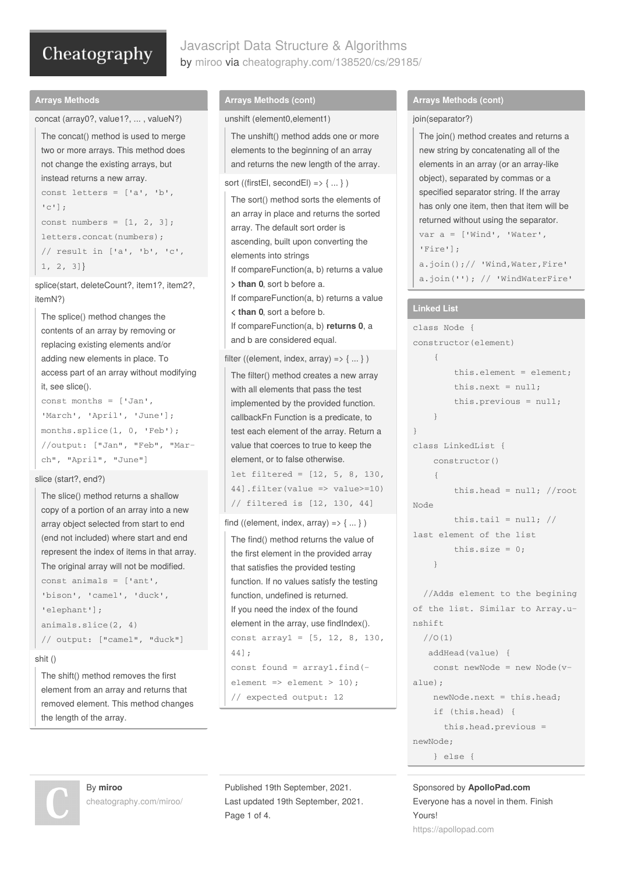# Javascript Data Structure & Algorithms by [miroo](http://www.cheatography.com/miroo/) via [cheatography.com/138520/cs/29185/](http://www.cheatography.com/miroo/cheat-sheets/javascript-data-structure-and-algorithms)

#### **Arrays Methods**

```
concat (array0?, value1?, ... , valueN?)
 The concat() method is used to merge
 two or more arrays. This method does
 not change the existing arrays, but
 instead returns a new array.
 const letters = [ia', 'b','c'];
 const numbers = [1, 2, 3];
 letters.concat(numbers) ·
 // result in ['a', 'b', 'c',
 1, 2, 3]}
```
splice(start, deleteCount?, item1?, item2?, itemN?)

```
The splice() method changes the
contents of an array by removing or
replacing existing elements and/or
adding new elements in place. To
access part of an array without modifying
it, see slice().
const months = ['Jan',
'March', 'April', 'June'];
months.splice(1, 0, 'Feb');
//output: ["Jan", "Feb", "Mar‐
ch", "April", "June"]
```
#### slice (start?, end?)

```
The slice() method returns a shallow
copy of a portion of an array into a new
array object selected from start to end
(end not included) where start and end
represent the index of items in that array.
The original array will not be modified.
const animals = ['ant',
'bison', 'camel', 'duck',
'elephant'];
animals.slice(2, 4)
// output: ["camel", "duck"]
```
#### shit ()

The shift() method removes the first element from an array and returns that removed element. This method changes the length of the array.

#### **Arrays Methods (cont)**

```
unshift (element0,element1)
 The unshift() method adds one or more
 elements to the beginning of an array
 and returns the new length of the array.
sort ((firstEl, secondEl) => \{ \dots \})
 The sort() method sorts the elements of
 an array in place and returns the sorted
 array. The default sort order is
 ascending, built upon converting the
 elements into strings
 If compareFunction(a, b) returns a value
 > than 0, sort b before a.
 If compareFunction(a, b) returns a value
 < than 0, sort a before b.
 If compareFunction(a, b) returns 0, a
 and b are considered equal.
```
## filter ((element, index,  $array$ ) => { ... } )

```
The filter() method creates a new array
with all elements that pass the test
implemented by the provided function.
callbackFn Function is a predicate, to
test each element of the array. Return a
value that coerces to true to keep the
element, or to false otherwise.
```

```
let filtered = [12, 5, 8, 130,
44].filter(value => value>=10)
// filtered is [12, 130, 44]
```
find ((element, index,  $array$ ) =>  $\{ \dots \}$ )

```
The find() method returns the value of
the first element in the provided array
that satisfies the provided testing
function. If no values satisfy the testing
function, undefined is returned.
If you need the index of the found
element in the array, use findIndex().
const array1 = [5, 12, 8, 130,
44];
const found = array1.find(‐
element => element > 10);
// expected output: 12
```
#### **Arrays Methods (cont)**

#### join(separator?)

```
The join() method creates and returns a
new string by concatenating all of the
elements in an array (or an array-like
object), separated by commas or a
specified separator string. If the array
has only one item, then that item will be
returned without using the separator.
var a = ['Wind', 'Water',
'Fire'];
a.join();// 'Wind,Water,Fire'
a.join(''); // 'WindWaterFire'
```
#### **Linked List**

```
class Node {
constructor(element)
   {
        this.element = element;
        this.next = null;this.previous = null;
    }
}
class LinkedList {
    constructor()
    {
        this.head = null; //root
Node
        this.tail = null; //last element of the list
        this.size = 0;
    }
```
//Adds element to the begining of the list. Similar to Array.u‐ nshift  $1/0(1)$ addHead(value) { const newNode = new Node(v‐  $a$ lue) $\cdot$ newNode.next = this.head; if (this.head) { this.head.previous = newNode; } else {

Sponsored by **ApolloPad.com** Everyone has a novel in them. Finish Yours! <https://apollopad.com>

By **miroo** [cheatography.com/miroo/](http://www.cheatography.com/miroo/) Published 19th September, 2021. Last updated 19th September, 2021. Page 1 of 4.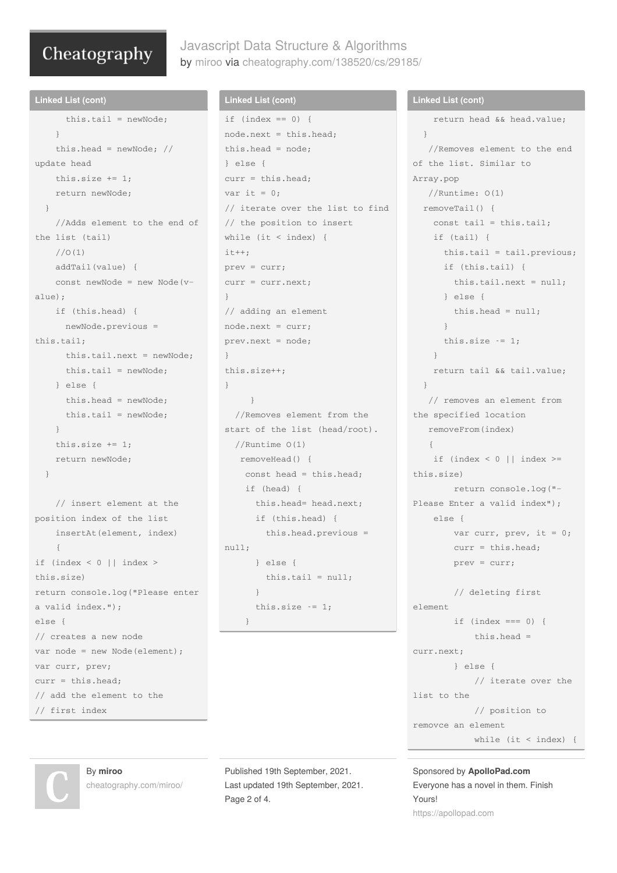# Javascript Data Structure & Algorithms by [miroo](http://www.cheatography.com/miroo/) via [cheatography.com/138520/cs/29185/](http://www.cheatography.com/miroo/cheat-sheets/javascript-data-structure-and-algorithms)

```
Linked List (cont)
      this.tail = newNode;
    }
    this.head = newNode; //update head
   this.size += 1;
    return newNode;
 }
    //Adds element to the end of
the list (tail)
   1/0(1)addTail(value) {
    const newNode = new Node(v‐
alue);
    if (this.head) {
      newNode.previous =
this.tail;
      this.tail.next = newNode;
      this.tail = newNode;
    \left\{ \begin{array}{c} 1 \\ 2 \end{array} \right\}this.head = newNode;
      this.tail = newNode;
    \lambdathis.size += 1;return newNode;
  }
    // insert element at the
position index of the list
    insertAt(element, index)
    {
if (index \leq 0 || index >this.size)
return console.log("Please enter
a valid index.");
else {
// creates a new node
var node = new Node(element);
var curr, prev;
```
# **Linked List (cont)**

```
if (index == 0) {
node.next = this.head;
this.head = node;
} else {
curr = this, head:var it = 0:
// iterate over the list to find
// the position to insert
while (it < index) {
i t++;
prev = curr;
curr = curr.next;
}
// adding an element
node.next = curr;
prev.next = node;
}
this.size++;
}
    }
  //Removes element from the
start of the list (head/root).
 //Runtime O(1)
  removeHead() {
   const head = this.head;
   if (head) {
     this.head= head.next;
      if (this.head) {
       this.head.previous =
null;
      } else {
        this.tail = null;}
      this.size - = 1;
   }
```
Published 19th September, 2021. Last updated 19th September, 2021. Page 2 of 4.

### **Linked List (cont)**

```
return head && head.value;
  }
   //Removes element to the end
of the list. Similar to
Array.pop
   //Runtime: O(1)
 removeTail() {
   const tail = this.tail;
   if (tail) {
     this.tail = tail.previous;
     if (this.tail) {
       this.tail.next = null;
      } else {
       this.head = null;
      }
      this.size - = 1;
    }
    return tail && tail.value;
 }
   // removes an element from
the specified location
  removeFrom(index)
   {
   if (index \leq 0 || index \geq=
this.size)
       return console.log("‐
Please Enter a valid index");
   else {
       var curr, prev, it = 0;
       curr = this.head;
       prev = curr;
        // deleting first
element
       if (index == 0) {
           this.head =
curr.next;
       } else {
           // iterate over the
list to the
           // position to
removce an element
          while (it < index) {
```
Sponsored by **ApolloPad.com** Everyone has a novel in them. Finish Yours! <https://apollopad.com>

By **miroo** [cheatography.com/miroo/](http://www.cheatography.com/miroo/)

curr = this.head;

// first index

// add the element to the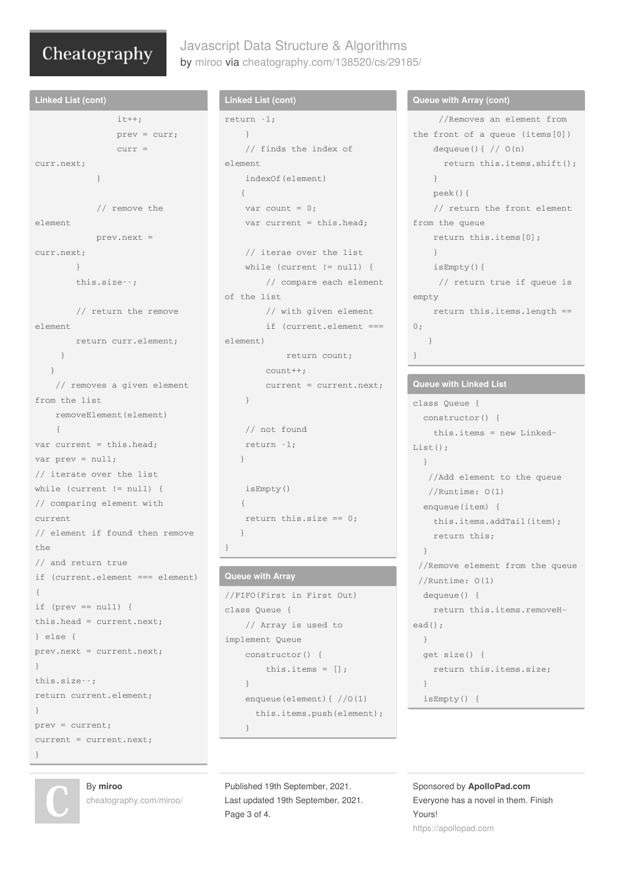# Javascript Data Structure & Algorithms by [miroo](http://www.cheatography.com/miroo/) via [cheatography.com/138520/cs/29185/](http://www.cheatography.com/miroo/cheat-sheets/javascript-data-structure-and-algorithms)

```
Linked List (cont)
                it++;
                prev = curr;
                curr =
curr.next;
           }
            // remove the
element
            prev.next =
curr.next;
       }
       this.size--;
       // return the remove
element
      return curr.element;
    }
  }
   // removes a given element
from the list
   removeElement(element)
   \sqrt{2}var current = this.head;
var prev = null;
// iterate over the list
while (current != null) {
// comparing element with
current
// element if found then remove
the
// and return true
if (current.element === element)
{
if (prev == null) {
this.head = current.next;
} else {
prev.next = current.next;
}
this.size--;
return current.element;
}
prev = current;
current = current.next;
}
```
### **Linked List (cont)**

```
return -1;
   }
   // finds the index of
element
   indexOf(element)
   {
   var count = 0;
   var current = this.head;
   // iterae over the list
   while (current != null) {
       // compare each element
of the list
       // with given element
       if (current.element ===
element)
           return count;
```
count++; current = current.next; }

```
// not found
return -1;
}
isEmpty()
```
{ return this.size == 0; }

## }

# **Queue with Array**

```
//FIFO(First in First Out)
class Queue {
    // Array is used to
implement Queue
    constructor() {
       this.items = [];
    }
    enqueue(element){ //O(1)
      this.items.push(element);
    }
```
Published 19th September, 2021. Last updated 19th September, 2021. Page 3 of 4.

#### **Queue with Array (cont)**

```
//Removes an element from
the front of a queue (items[0])
   dequeue()\{ // O(n)return this.items.shift();
   }
    peek(){
    // return the front element
from the queue
   return this.items[0];
   }
   isEmpty(){
    // return true if queue is
empty
  return this.items.length ==
\bigcap.
  }
}
```
### **Queue with Linked List**

```
class Queue {
 constructor() {
   this.items = new Linked‐
List():
 }
   //Add element to the queue
  //Runtime: O(1)
  enqueue(item) {
   this.items.addTail(item);
   return this;
 }
 //Remove element from the queue
 //Runtime: O(1)
 dequeue() {
   return this.items.removeH‐
ead();
 }
 get size() {
    return this.items.size;
 }
  isEmpty() {
```
Sponsored by **ApolloPad.com** Everyone has a novel in them. Finish Yours! <https://apollopad.com>



By **miroo**

[cheatography.com/miroo/](http://www.cheatography.com/miroo/)